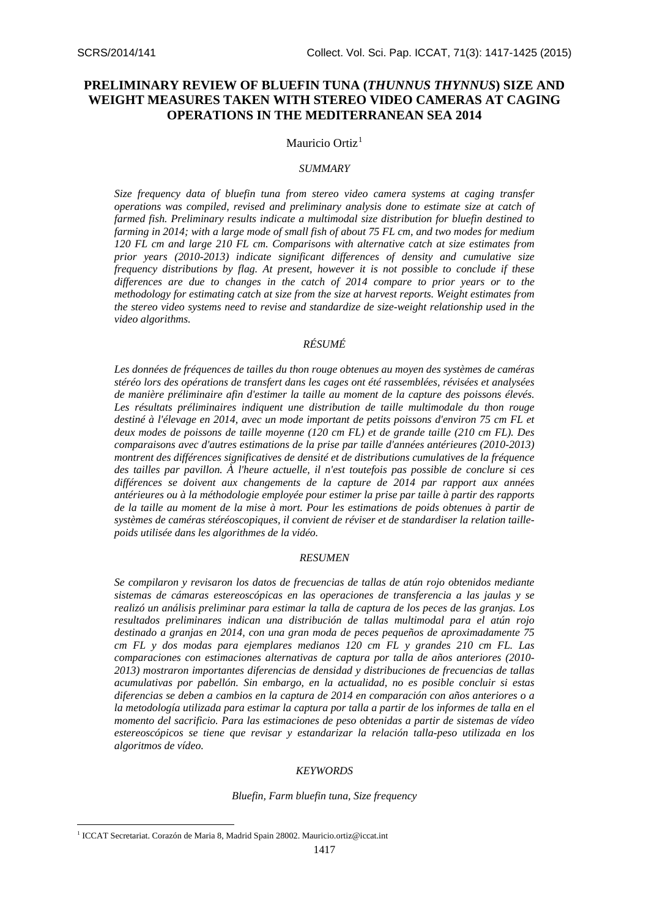# **PRELIMINARY REVIEW OF BLUEFIN TUNA (***THUNNUS THYNNUS***) SIZE AND WEIGHT MEASURES TAKEN WITH STEREO VIDEO CAMERAS AT CAGING OPERATIONS IN THE MEDITERRANEAN SEA 2014**

### Mauricio Ortiz<sup>[1](#page-0-0)</sup>

#### *SUMMARY*

*Size frequency data of bluefin tuna from stereo video camera systems at caging transfer operations was compiled, revised and preliminary analysis done to estimate size at catch of farmed fish. Preliminary results indicate a multimodal size distribution for bluefin destined to farming in 2014; with a large mode of small fish of about 75 FL cm, and two modes for medium 120 FL cm and large 210 FL cm. Comparisons with alternative catch at size estimates from prior years (2010-2013) indicate significant differences of density and cumulative size frequency distributions by flag. At present, however it is not possible to conclude if these differences are due to changes in the catch of 2014 compare to prior years or to the methodology for estimating catch at size from the size at harvest reports. Weight estimates from the stereo video systems need to revise and standardize de size-weight relationship used in the video algorithms.*

# *RÉSUMÉ*

*Les données de fréquences de tailles du thon rouge obtenues au moyen des systèmes de caméras stéréo lors des opérations de transfert dans les cages ont été rassemblées, révisées et analysées de manière préliminaire afin d'estimer la taille au moment de la capture des poissons élevés.*  Les résultats préliminaires indiquent une distribution de taille multimodale du thon rouge *destiné à l'élevage en 2014, avec un mode important de petits poissons d'environ 75 cm FL et deux modes de poissons de taille moyenne (120 cm FL) et de grande taille (210 cm FL). Des comparaisons avec d'autres estimations de la prise par taille d'années antérieures (2010-2013) montrent des différences significatives de densité et de distributions cumulatives de la fréquence des tailles par pavillon. À l'heure actuelle, il n'est toutefois pas possible de conclure si ces différences se doivent aux changements de la capture de 2014 par rapport aux années antérieures ou à la méthodologie employée pour estimer la prise par taille à partir des rapports de la taille au moment de la mise à mort. Pour les estimations de poids obtenues à partir de systèmes de caméras stéréoscopiques, il convient de réviser et de standardiser la relation taillepoids utilisée dans les algorithmes de la vidéo.*

# *RESUMEN*

*Se compilaron y revisaron los datos de frecuencias de tallas de atún rojo obtenidos mediante sistemas de cámaras estereoscópicas en las operaciones de transferencia a las jaulas y se realizó un análisis preliminar para estimar la talla de captura de los peces de las granjas. Los resultados preliminares indican una distribución de tallas multimodal para el atún rojo destinado a granjas en 2014, con una gran moda de peces pequeños de aproximadamente 75 cm FL y dos modas para ejemplares medianos 120 cm FL y grandes 210 cm FL. Las comparaciones con estimaciones alternativas de captura por talla de años anteriores (2010- 2013) mostraron importantes diferencias de densidad y distribuciones de frecuencias de tallas acumulativas por pabellón. Sin embargo, en la actualidad, no es posible concluir si estas diferencias se deben a cambios en la captura de 2014 en comparación con años anteriores o a la metodología utilizada para estimar la captura por talla a partir de los informes de talla en el momento del sacrificio. Para las estimaciones de peso obtenidas a partir de sistemas de vídeo estereoscópicos se tiene que revisar y estandarizar la relación talla-peso utilizada en los algoritmos de vídeo.* 

#### *KEYWORDS*

*Bluefin, Farm bluefin tuna, Size frequency*

**.** 

<span id="page-0-0"></span><sup>&</sup>lt;sup>1</sup> ICCAT Secretariat. Corazón de Maria 8, Madrid Spain 28002. [Mauricio.ortiz@iccat.int](mailto:Mauricio.ortiz@iccat.int)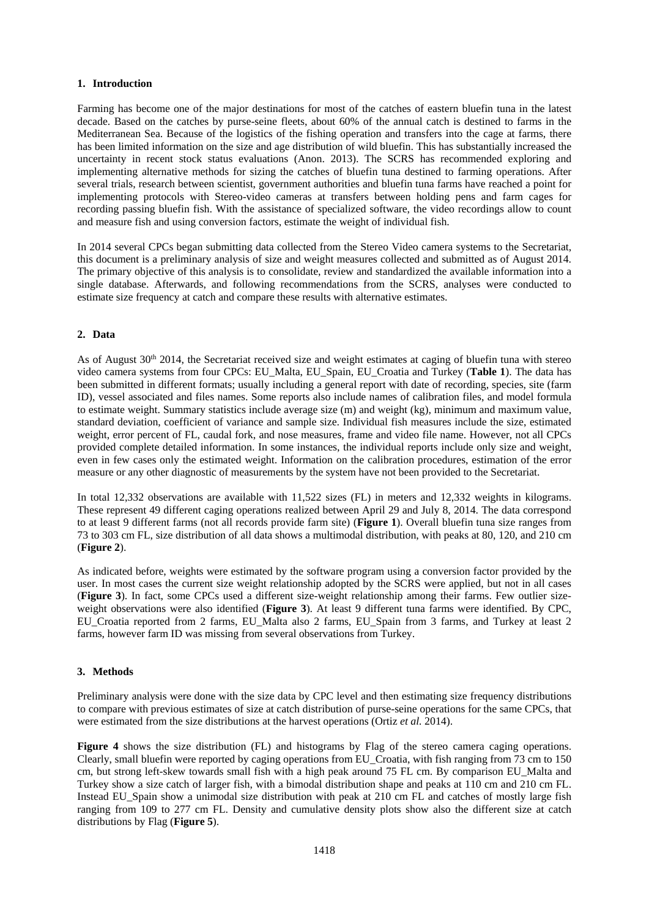### **1. Introduction**

Farming has become one of the major destinations for most of the catches of eastern bluefin tuna in the latest decade. Based on the catches by purse-seine fleets, about 60% of the annual catch is destined to farms in the Mediterranean Sea. Because of the logistics of the fishing operation and transfers into the cage at farms, there has been limited information on the size and age distribution of wild bluefin. This has substantially increased the uncertainty in recent stock status evaluations (Anon. 2013). The SCRS has recommended exploring and implementing alternative methods for sizing the catches of bluefin tuna destined to farming operations. After several trials, research between scientist, government authorities and bluefin tuna farms have reached a point for implementing protocols with Stereo-video cameras at transfers between holding pens and farm cages for recording passing bluefin fish. With the assistance of specialized software, the video recordings allow to count and measure fish and using conversion factors, estimate the weight of individual fish.

In 2014 several CPCs began submitting data collected from the Stereo Video camera systems to the Secretariat, this document is a preliminary analysis of size and weight measures collected and submitted as of August 2014. The primary objective of this analysis is to consolidate, review and standardized the available information into a single database. Afterwards, and following recommendations from the SCRS, analyses were conducted to estimate size frequency at catch and compare these results with alternative estimates.

### **2. Data**

As of August  $30<sup>th</sup> 2014$ , the Secretariat received size and weight estimates at caging of bluefin tuna with stereo video camera systems from four CPCs: EU\_Malta, EU\_Spain, EU\_Croatia and Turkey (**[Table 1](#page-3-0)**). The data has been submitted in different formats; usually including a general report with date of recording, species, site (farm ID), vessel associated and files names. Some reports also include names of calibration files, and model formula to estimate weight. Summary statistics include average size (m) and weight (kg), minimum and maximum value, standard deviation, coefficient of variance and sample size. Individual fish measures include the size, estimated weight, error percent of FL, caudal fork, and nose measures, frame and video file name. However, not all CPCs provided complete detailed information. In some instances, the individual reports include only size and weight, even in few cases only the estimated weight. Information on the calibration procedures, estimation of the error measure or any other diagnostic of measurements by the system have not been provided to the Secretariat.

In total 12,332 observations are available with 11,522 sizes (FL) in meters and 12,332 weights in kilograms. These represent 49 different caging operations realized between April 29 and July 8, 2014. The data correspond to at least 9 different farms (not all records provide farm site) (**[Figu](#page-3-1)re 1**). Overall bluefin tuna size ranges from 73 to 303 cm FL, size distribution of all data shows a multimodal distribution, with peaks at 80, 120, and 210 cm (**[Figure](#page-4-0) 2**).

As indicated before, weights were estimated by the software program using a conversion factor provided by the user. In most cases the current size weight relationship adopted by the SCRS were applied, but not in all cases (**[Figure](#page-5-0) 3**). In fact, some CPCs used a different size-weight relationship among their farms. Few outlier sizeweight observations were also identified (**[Figure](#page-5-0) 3**). At least 9 different tuna farms were identified. By CPC, EU\_Croatia reported from 2 farms, EU\_Malta also 2 farms, EU\_Spain from 3 farms, and Turkey at least 2 farms, however farm ID was missing from several observations from Turkey.

#### **3. Methods**

Preliminary analysis were done with the size data by CPC level and then estimating size frequency distributions to compare with previous estimates of size at catch distribution of purse-seine operations for the same CPCs, that were estimated from the size distributions at the harvest operations (Ortiz *et al.* 2014).

**[Figure 4](#page-5-1)** shows the size distribution (FL) and histograms by Flag of the stereo camera caging operations. Clearly, small bluefin were reported by caging operations from EU\_Croatia, with fish ranging from 73 cm to 150 cm, but strong left-skew towards small fish with a high peak around 75 FL cm. By comparison EU\_Malta and Turkey show a size catch of larger fish, with a bimodal distribution shape and peaks at 110 cm and 210 cm FL. Instead EU\_Spain show a unimodal size distribution with peak at 210 cm FL and catches of mostly large fish ranging from 109 to 277 cm FL. Density and cumulative density plots show also the different size at catch distributions by Flag (**[Figure](#page-6-0) 5**).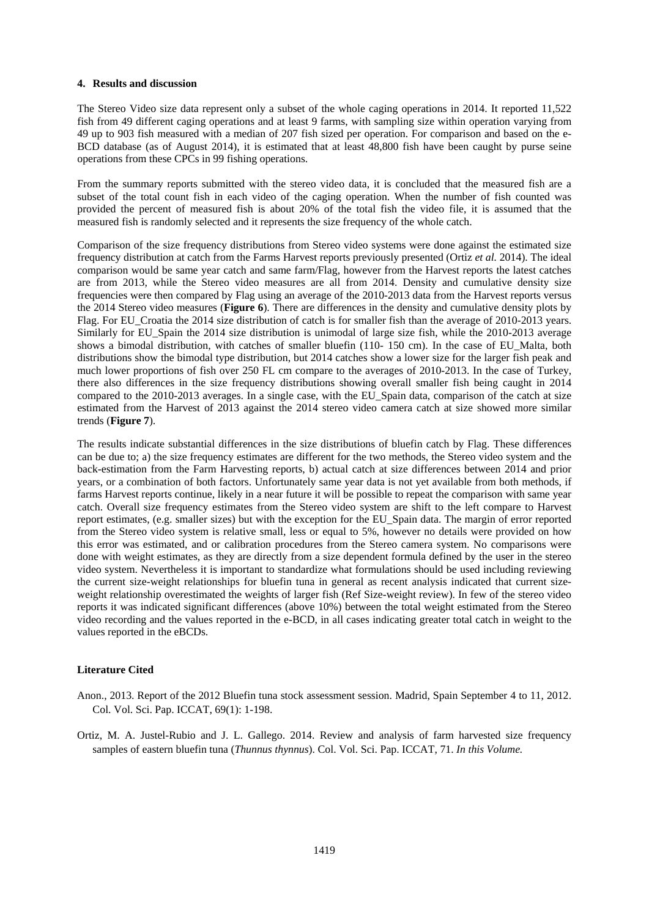# **4. Results and discussion**

The Stereo Video size data represent only a subset of the whole caging operations in 2014. It reported 11,522 fish from 49 different caging operations and at least 9 farms, with sampling size within operation varying from 49 up to 903 fish measured with a median of 207 fish sized per operation. For comparison and based on the e-BCD database (as of August 2014), it is estimated that at least 48,800 fish have been caught by purse seine operations from these CPCs in 99 fishing operations.

From the summary reports submitted with the stereo video data, it is concluded that the measured fish are a subset of the total count fish in each video of the caging operation. When the number of fish counted was provided the percent of measured fish is about 20% of the total fish the video file, it is assumed that the measured fish is randomly selected and it represents the size frequency of the whole catch.

Comparison of the size frequency distributions from Stereo video systems were done against the estimated size frequency distribution at catch from the Farms Harvest reports previously presented (Ortiz *et al.* 2014). The ideal comparison would be same year catch and same farm/Flag, however from the Harvest reports the latest catches are from 2013, while the Stereo video measures are all from 2014. Density and cumulative density size frequencies were then compared by Flag using an average of the 2010-2013 data from the Harvest reports versus the 2014 Stereo video measures (**[Figure](#page-7-0) 6**). There are differences in the density and cumulative density plots by Flag. For EU\_Croatia the 2014 size distribution of catch is for smaller fish than the average of 2010-2013 years. Similarly for EU\_Spain the 2014 size distribution is unimodal of large size fish, while the 2010-2013 average shows a bimodal distribution, with catches of smaller bluefin (110- 150 cm). In the case of EU Malta, both distributions show the bimodal type distribution, but 2014 catches show a lower size for the larger fish peak and much lower proportions of fish over 250 FL cm compare to the averages of 2010-2013. In the case of Turkey, there also differences in the size frequency distributions showing overall smaller fish being caught in 2014 compared to the 2010-2013 averages. In a single case, with the EU\_Spain data, comparison of the catch at size estimated from the Harvest of 2013 against the 2014 stereo video camera catch at size showed more similar trends (**[Figure](#page-8-0) 7**).

The results indicate substantial differences in the size distributions of bluefin catch by Flag. These differences can be due to; a) the size frequency estimates are different for the two methods, the Stereo video system and the back-estimation from the Farm Harvesting reports, b) actual catch at size differences between 2014 and prior years, or a combination of both factors. Unfortunately same year data is not yet available from both methods, if farms Harvest reports continue, likely in a near future it will be possible to repeat the comparison with same year catch. Overall size frequency estimates from the Stereo video system are shift to the left compare to Harvest report estimates, (e.g. smaller sizes) but with the exception for the EU\_Spain data. The margin of error reported from the Stereo video system is relative small, less or equal to 5%, however no details were provided on how this error was estimated, and or calibration procedures from the Stereo camera system. No comparisons were done with weight estimates, as they are directly from a size dependent formula defined by the user in the stereo video system. Nevertheless it is important to standardize what formulations should be used including reviewing the current size-weight relationships for bluefin tuna in general as recent analysis indicated that current sizeweight relationship overestimated the weights of larger fish (Ref Size-weight review). In few of the stereo video reports it was indicated significant differences (above 10%) between the total weight estimated from the Stereo video recording and the values reported in the e-BCD, in all cases indicating greater total catch in weight to the values reported in the eBCDs.

#### **Literature Cited**

- Anon., 2013. Report of the 2012 Bluefin tuna stock assessment session. Madrid, Spain September 4 to 11, 2012. Col. Vol. Sci. Pap. ICCAT, 69(1): 1-198.
- Ortiz, M. A. Justel-Rubio and J. L. Gallego. 2014. Review and analysis of farm harvested size frequency samples of eastern bluefin tuna (*Thunnus thynnus*). Col. Vol. Sci. Pap. ICCAT, 71. *In this Volume.*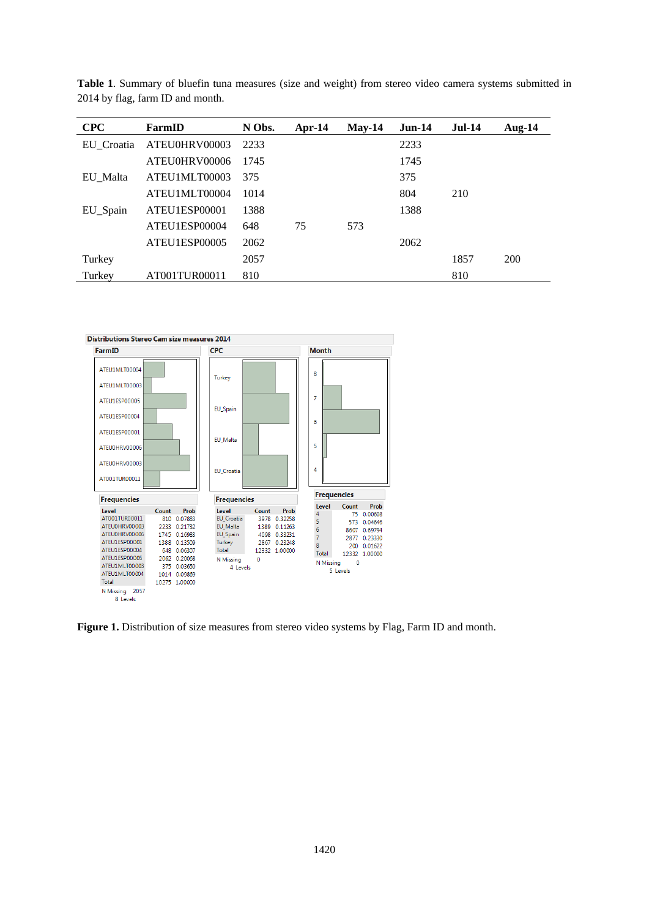| <b>CPC</b> | FarmID        | N Obs. | $Apr-14$ | $Mav-14$ | $Jun-14$ | <b>Jul-14</b> | Aug- $14$  |
|------------|---------------|--------|----------|----------|----------|---------------|------------|
| EU Croatia | ATEU0HRV00003 | 2233   |          |          | 2233     |               |            |
|            | ATEU0HRV00006 | 1745   |          |          | 1745     |               |            |
| EU Malta   | ATEU1MLT00003 | 375    |          |          | 375      |               |            |
|            | ATEU1MLT00004 | 1014   |          |          | 804      | 210           |            |
| EU_Spain   | ATEU1ESP00001 | 1388   |          |          | 1388     |               |            |
|            | ATEU1ESP00004 | 648    | 75       | 573      |          |               |            |
|            | ATEU1ESP00005 | 2062   |          |          | 2062     |               |            |
| Turkey     |               | 2057   |          |          |          | 1857          | <b>200</b> |
| Turkey     | AT001TUR00011 | 810    |          |          |          | 810           |            |

<span id="page-3-0"></span>**Table 1**. Summary of bluefin tuna measures (size and weight) from stereo video camera systems submitted in 2014 by flag, farm ID and month.



<span id="page-3-1"></span>Figure 1. Distribution of size measures from stereo video systems by Flag, Farm ID and month.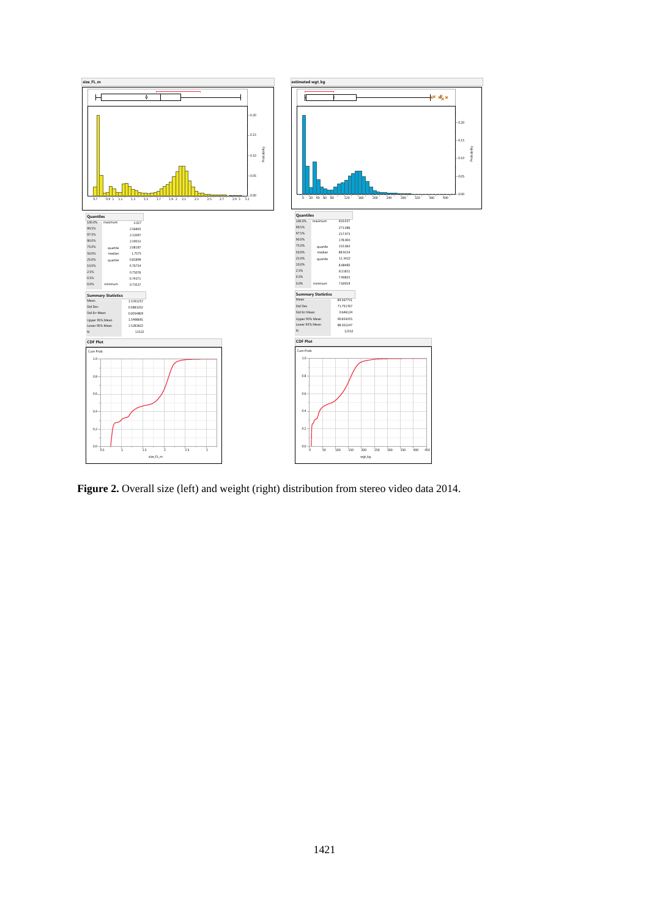

<span id="page-4-0"></span>Figure 2. Overall size (left) and weight (right) distribution from stereo video data 2014.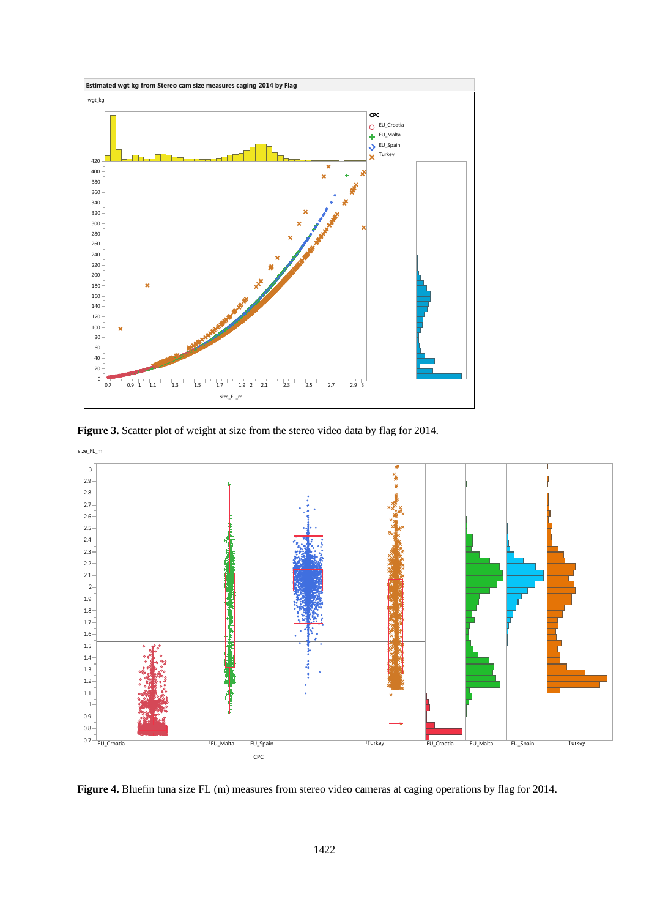

<span id="page-5-0"></span>Figure 3. Scatter plot of weight at size from the stereo video data by flag for 2014.



<span id="page-5-1"></span>**Figure 4.** Bluefin tuna size FL (m) measures from stereo video cameras at caging operations by flag for 2014.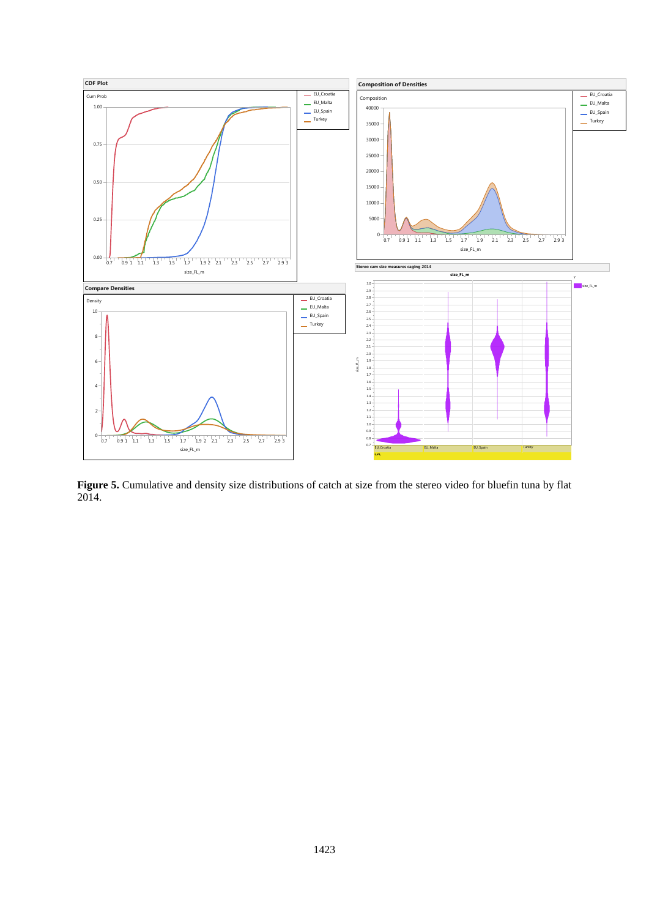

<span id="page-6-0"></span>**Figure 5.** Cumulative and density size distributions of catch at size from the stereo video for bluefin tuna by flat 2014.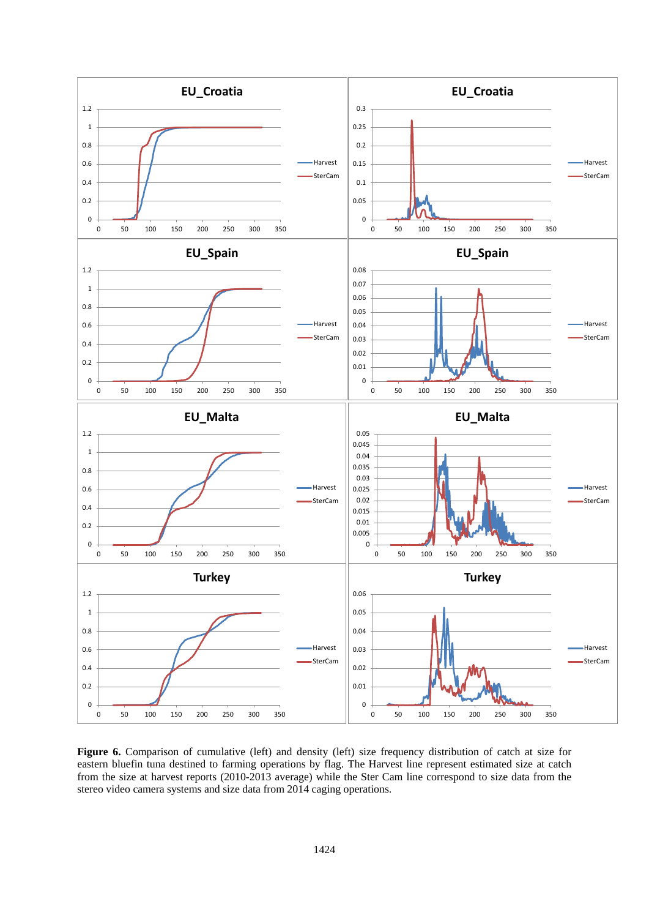

<span id="page-7-0"></span>Figure 6. Comparison of cumulative (left) and density (left) size frequency distribution of catch at size for eastern bluefin tuna destined to farming operations by flag. The Harvest line represent estimated size at catch from the size at harvest reports (2010-2013 average) while the Ster Cam line correspond to size data from the stereo video camera systems and size data from 2014 caging operations.